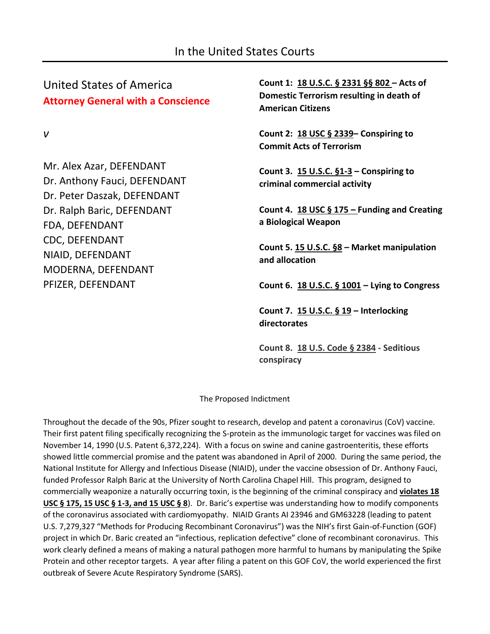United States of America **Attorney General with a Conscience**

*v*

Mr. Alex Azar, DEFENDANT Dr. Anthony Fauci, DEFENDANT Dr. Peter Daszak, DEFENDANT Dr. Ralph Baric, DEFENDANT FDA, DEFENDANT CDC, DEFENDANT NIAID, DEFENDANT MODERNA, DEFENDANT PFIZER, DEFENDANT

**Count 1: 18 U.S.C. § 2331 §§ 802 – Acts of Domestic Terrorism resulting in death of American Citizens**

**Count 2: 18 USC § 2339– Conspiring to Commit Acts of Terrorism**

**Count 3. 15 U.S.C. §1-3 – Conspiring to criminal commercial activity**

**Count 4. 18 USC § 175 – Funding and Creating a Biological Weapon**

**Count 5. 15 U.S.C. §8 – Market manipulation and allocation**

**Count 6. 18 U.S.C. § 1001 – Lying to Congress**

**Count 7. 15 U.S.C. § 19 – Interlocking directorates**

**Count 8. 18 U.S. Code § 2384 - Seditious conspiracy**

The Proposed Indictment

Throughout the decade of the 90s, Pfizer sought to research, develop and patent a coronavirus (CoV) vaccine. Their first patent filing specifically recognizing the S-protein as the immunologic target for vaccines was filed on November 14, 1990 (U.S. Patent 6,372,224). With a focus on swine and canine gastroenteritis, these efforts showed little commercial promise and the patent was abandoned in April of 2000. During the same period, the National Institute for Allergy and Infectious Disease (NIAID), under the vaccine obsession of Dr. Anthony Fauci, funded Professor Ralph Baric at the University of North Carolina Chapel Hill. This program, designed to commercially weaponize a naturally occurring toxin, is the beginning of the criminal conspiracy and **violates 18 USC § 175, 15 USC § 1-3, and 15 USC § 8**). Dr. Baric's expertise was understanding how to modify components of the coronavirus associated with cardiomyopathy. NIAID Grants AI 23946 and GM63228 (leading to patent U.S. 7,279,327 "Methods for Producing Recombinant Coronavirus") was the NIH's first Gain-of-Function (GOF) project in which Dr. Baric created an "infectious, replication defective" clone of recombinant coronavirus. This work clearly defined a means of making a natural pathogen more harmful to humans by manipulating the Spike Protein and other receptor targets. A year after filing a patent on this GOF CoV, the world experienced the first outbreak of Severe Acute Respiratory Syndrome (SARS).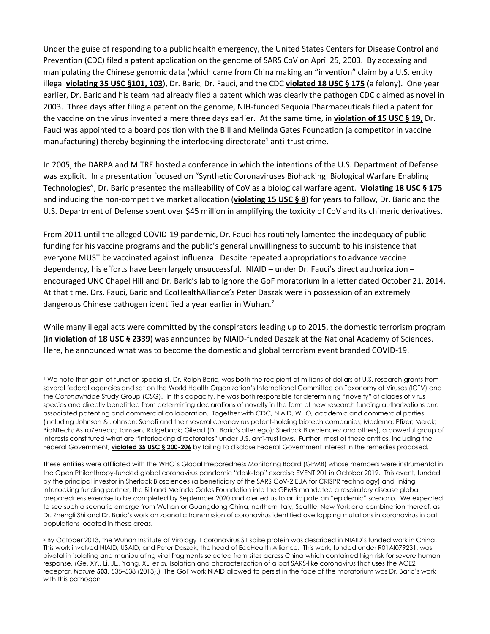Under the guise of responding to a public health emergency, the United States Centers for Disease Control and Prevention (CDC) filed a patent application on the genome of SARS CoV on April 25, 2003. By accessing and manipulating the Chinese genomic data (which came from China making an "invention" claim by a U.S. entity illegal **violating 35 USC §101, 103**), Dr. Baric, Dr. Fauci, and the CDC **violated 18 USC § 175** (a felony). One year earlier, Dr. Baric and his team had already filed a patent which was clearly the pathogen CDC claimed as novel in 2003. Three days after filing a patent on the genome, NIH-funded Sequoia Pharmaceuticals filed a patent for the vaccine on the virus invented a mere three days earlier. At the same time, in **violation of 15 USC § 19,** Dr. Fauci was appointed to a board position with the Bill and Melinda Gates Foundation (a competitor in vaccine manufacturing) thereby beginning the interlocking directorate<sup>1</sup> anti-trust crime.

In 2005, the DARPA and MITRE hosted a conference in which the intentions of the U.S. Department of Defense was explicit. In a presentation focused on "Synthetic Coronaviruses Biohacking: Biological Warfare Enabling Technologies", Dr. Baric presented the malleability of CoV as a biological warfare agent. **Violating 18 USC § 175** and inducing the non-competitive market allocation (**violating 15 USC § 8**) for years to follow, Dr. Baric and the U.S. Department of Defense spent over \$45 million in amplifying the toxicity of CoV and its chimeric derivatives.

From 2011 until the alleged COVID-19 pandemic, Dr. Fauci has routinely lamented the inadequacy of public funding for his vaccine programs and the public's general unwillingness to succumb to his insistence that everyone MUST be vaccinated against influenza. Despite repeated appropriations to advance vaccine dependency, his efforts have been largely unsuccessful. NIAID – under Dr. Fauci's direct authorization – encouraged UNC Chapel Hill and Dr. Baric's lab to ignore the GoF moratorium in a letter dated October 21, 2014. At that time, Drs. Fauci, Baric and EcoHealthAlliance's Peter Daszak were in possession of an extremely dangerous Chinese pathogen identified a year earlier in Wuhan.<sup>2</sup>

While many illegal acts were committed by the conspirators leading up to 2015, the domestic terrorism program (**in violation of 18 USC § 2339**) was announced by NIAID-funded Daszak at the National Academy of Sciences. Here, he announced what was to become the domestic and global terrorism event branded COVID-19.

<sup>1</sup> We note that gain-of-function specialist, Dr. Ralph Baric, was both the recipient of millions of dollars of U.S. research grants from several federal agencies and sat on the World Health Organization's International Committee on Taxonomy of Viruses (ICTV) and the *Coronaviridae* Study Group (CSG). In this capacity, he was both responsible for determining "novelty" of clades of virus species and directly benefitted from determining declarations of novelty in the form of new research funding authorizations and associated patenting and commercial collaboration. Together with CDC, NIAID, WHO, academic and commercial parties (including Johnson & Johnson; Sanofi and their several coronavirus patent-holding biotech companies; Moderna; Pfizer; Merck; BioNTech; AstraZeneca; Janssen; Ridgeback; Gilead (Dr. Baric's alter ego); Sherlock Biosciences; and others), a powerful group of interests constituted what are "interlocking directorates" under U.S. anti-trust laws. Further, most of these entities, including the Federal Government, **violated 35 USC § 200-206** by failing to disclose Federal Government interest in the remedies proposed.

These entities were affiliated with the WHO's Global Preparedness Monitoring Board (GPMB) whose members were instrumental in the Open Philanthropy-funded global coronavirus pandemic "desk-top" exercise EVENT 201 in October 2019. This event, funded by the principal investor in Sherlock Biosciences (a beneficiary of the SARS CoV-2 EUA for CRISPR technology) and linking interlocking funding partner, the Bill and Melinda Gates Foundation into the GPMB mandated a respiratory disease global preparedness exercise to be completed by September 2020 and alerted us to anticipate an "epidemic" scenario. We expected to see such a scenario emerge from Wuhan or Guangdong China, northern Italy, Seattle, New York or a combination thereof, as Dr. Zhengli Shi and Dr. Baric's work on zoonotic transmission of coronavirus identified overlapping mutations in coronavirus in bat populations located in these areas.

<sup>2</sup> By October 2013, the Wuhan Institute of Virology 1 coronavirus S1 spike protein was described in NIAID's funded work in China. This work involved NIAID, USAID, and Peter Daszak, the head of EcoHealth Alliance. This work, funded under R01AI079231, was pivotal in isolating and manipulating viral fragments selected from sites across China which contained high risk for severe human response. (Ge, XY., Li, JL., Yang, XL. *et al.* Isolation and characterization of a bat SARS-like coronavirus that uses the ACE2 receptor. *Nature* **503,** 535–538 (2013).) The GoF work NIAID allowed to persist in the face of the moratorium was Dr. Baric's work with this pathogen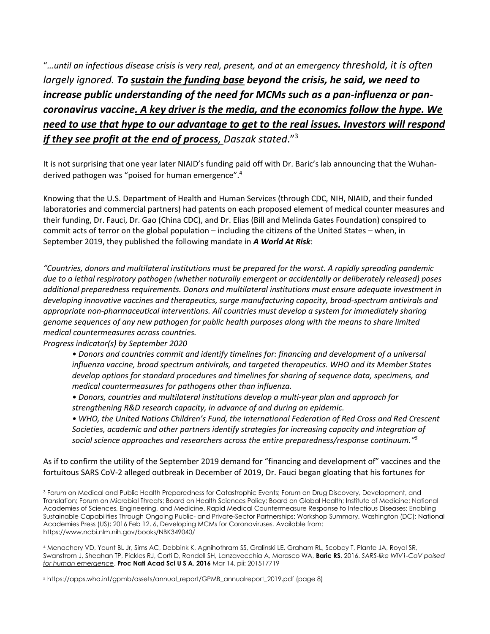"*…until an infectious disease crisis is very real, present, and at an emergency threshold, it is often largely ignored. To sustain the funding base beyond the crisis, he said, we need to increase public understanding of the need for MCMs such as a pan-influenza or pancoronavirus vaccine. A key driver is the media, and the economics follow the hype. We need to use that hype to our advantage to get to the real issues. Investors will respond if they see profit at the end of process, Daszak stated*."<sup>3</sup>

It is not surprising that one year later NIAID's funding paid off with Dr. Baric's lab announcing that the Wuhanderived pathogen was "poised for human emergence". 4

Knowing that the U.S. Department of Health and Human Services (through CDC, NIH, NIAID, and their funded laboratories and commercial partners) had patents on each proposed element of medical counter measures and their funding, Dr. Fauci, Dr. Gao (China CDC), and Dr. Elias (Bill and Melinda Gates Foundation) conspired to commit acts of terror on the global population – including the citizens of the United States – when, in September 2019, they published the following mandate in *A World At Risk*:

*"Countries, donors and multilateral institutions must be prepared for the worst. A rapidly spreading pandemic due to a lethal respiratory pathogen (whether naturally emergent or accidentally or deliberately released) poses additional preparedness requirements. Donors and multilateral institutions must ensure adequate investment in developing innovative vaccines and therapeutics, surge manufacturing capacity, broad-spectrum antivirals and appropriate non-pharmaceutical interventions. All countries must develop a system for immediately sharing genome sequences of any new pathogen for public health purposes along with the means to share limited medical countermeasures across countries.* 

*Progress indicator(s) by September 2020* 

- *Donors and countries commit and identify timelines for: financing and development of a universal influenza vaccine, broad spectrum antivirals, and targeted therapeutics. WHO and its Member States develop options for standard procedures and timelines for sharing of sequence data, specimens, and medical countermeasures for pathogens other than influenza.*
- *Donors, countries and multilateral institutions develop a multi-year plan and approach for strengthening R&D research capacity, in advance of and during an epidemic.*
- *WHO, the United Nations Children's Fund, the International Federation of Red Cross and Red Crescent Societies, academic and other partners identify strategies for increasing capacity and integration of social science approaches and researchers across the entire preparedness/response continuum." 5*

As if to confirm the utility of the September 2019 demand for "financing and development of" vaccines and the fortuitous SARS CoV-2 alleged outbreak in December of 2019, Dr. Fauci began gloating that his fortunes for

<sup>3</sup> Forum on Medical and Public Health Preparedness for Catastrophic Events; Forum on Drug Discovery, Development, and Translation; Forum on Microbial Threats; Board on Health Sciences Policy; Board on Global Health; Institute of Medicine; National Academies of Sciences, Engineering, and Medicine. Rapid Medical Countermeasure Response to Infectious Diseases: Enabling Sustainable Capabilities Through Ongoing Public- and Private-Sector Partnerships: Workshop Summary. Washington (DC): National Academies Press (US); 2016 Feb 12. 6, Developing MCMs for Coronaviruses. Available from: https://www.ncbi.nlm.nih.gov/books/NBK349040/

<sup>4</sup> Menachery VD, Yount BL Jr, Sims AC, Debbink K, Agnihothram SS, Gralinski LE, Graham RL, Scobey T, Plante JA, Royal SR, Swanstrom J, Sheahan TP, Pickles RJ, Corti D, Randell SH, Lanzavecchia A, Marasco WA, **Baric RS**. 2016. *SARS-like WIV1-CoV poised for human emergence*. **Proc Natl Acad Sci U S A. 2016** Mar 14. pii: 201517719

<sup>5</sup> https://apps.who.int/gpmb/assets/annual\_report/GPMB\_annualreport\_2019.pdf (page 8)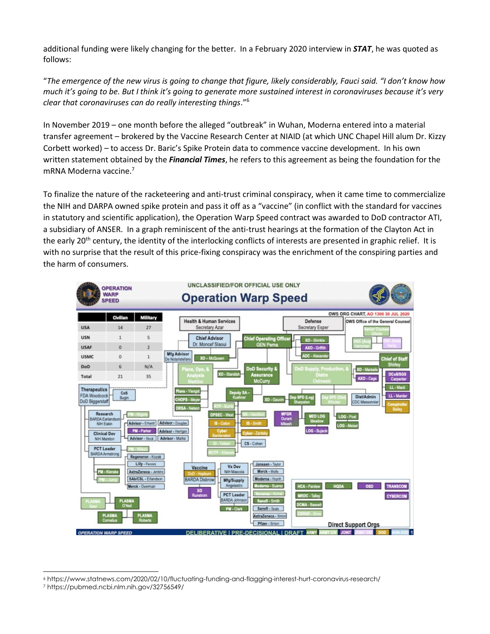additional funding were likely changing for the better. In a February 2020 interview in *STAT*, he was quoted as follows:

"*The emergence of the new virus is going to change that figure, likely considerably, Fauci said. "I don't know how much it's going to be. But I think it's going to generate more sustained interest in coronaviruses because it's very clear that coronaviruses can do really interesting things*."<sup>6</sup>

In November 2019 – one month before the alleged "outbreak" in Wuhan, Moderna entered into a material transfer agreement – brokered by the Vaccine Research Center at NIAID (at which UNC Chapel Hill alum Dr. Kizzy Corbett worked) – to access Dr. Baric's Spike Protein data to commence vaccine development. In his own written statement obtained by the *Financial Times*, he refers to this agreement as being the foundation for the mRNA Moderna vaccine.<sup>7</sup>

To finalize the nature of the racketeering and anti-trust criminal conspiracy, when it came time to commercialize the NIH and DARPA owned spike protein and pass it off as a "vaccine" (in conflict with the standard for vaccines in statutory and scientific application), the Operation Warp Speed contract was awarded to DoD contractor ATI, a subsidiary of ANSER. In a graph reminiscent of the anti-trust hearings at the formation of the Clayton Act in the early 20<sup>th</sup> century, the identity of the interlocking conflicts of interests are presented in graphic relief. It is with no surprise that the result of this price-fixing conspiracy was the enrichment of the conspiring parties and the harm of consumers.



<sup>6</sup> https://www.statnews.com/2020/02/10/fluctuating-funding-and-flagging-interest-hurt-coronavirus-research/

<sup>7</sup> https://pubmed.ncbi.nlm.nih.gov/32756549/